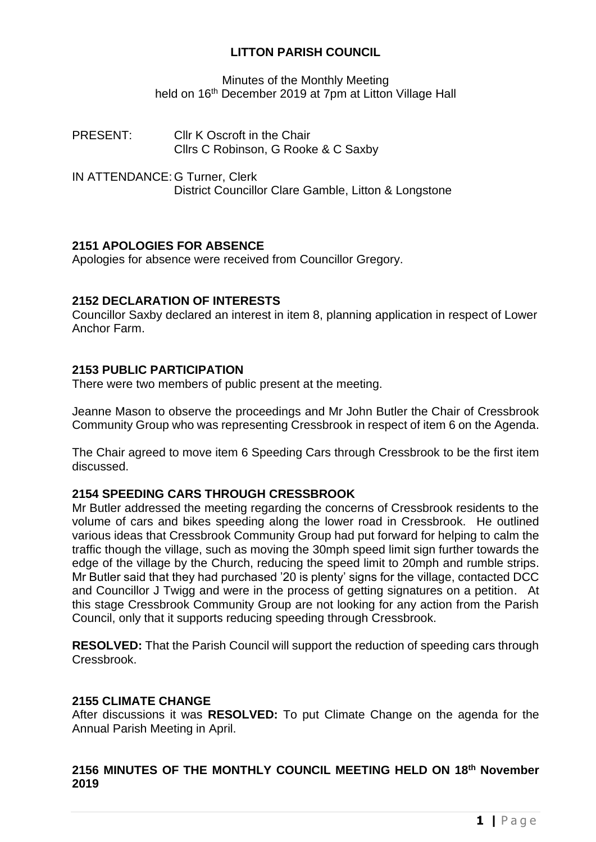# **LITTON PARISH COUNCIL**

Minutes of the Monthly Meeting held on 16<sup>th</sup> December 2019 at 7pm at Litton Village Hall

- PRESENT: Cllr K Oscroft in the Chair Cllrs C Robinson, G Rooke & C Saxby
- IN ATTENDANCE: G Turner, Clerk District Councillor Clare Gamble, Litton & Longstone

# **2151 APOLOGIES FOR ABSENCE**

Apologies for absence were received from Councillor Gregory.

# **2152 DECLARATION OF INTERESTS**

Councillor Saxby declared an interest in item 8, planning application in respect of Lower Anchor Farm.

## **2153 PUBLIC PARTICIPATION**

There were two members of public present at the meeting.

Jeanne Mason to observe the proceedings and Mr John Butler the Chair of Cressbrook Community Group who was representing Cressbrook in respect of item 6 on the Agenda.

The Chair agreed to move item 6 Speeding Cars through Cressbrook to be the first item discussed.

# **2154 SPEEDING CARS THROUGH CRESSBROOK**

Mr Butler addressed the meeting regarding the concerns of Cressbrook residents to the volume of cars and bikes speeding along the lower road in Cressbrook. He outlined various ideas that Cressbrook Community Group had put forward for helping to calm the traffic though the village, such as moving the 30mph speed limit sign further towards the edge of the village by the Church, reducing the speed limit to 20mph and rumble strips. Mr Butler said that they had purchased '20 is plenty' signs for the village, contacted DCC and Councillor J Twigg and were in the process of getting signatures on a petition. At this stage Cressbrook Community Group are not looking for any action from the Parish Council, only that it supports reducing speeding through Cressbrook.

**RESOLVED:** That the Parish Council will support the reduction of speeding cars through Cressbrook.

## **2155 CLIMATE CHANGE**

After discussions it was **RESOLVED:** To put Climate Change on the agenda for the Annual Parish Meeting in April.

# **2156 MINUTES OF THE MONTHLY COUNCIL MEETING HELD ON 18th November 2019**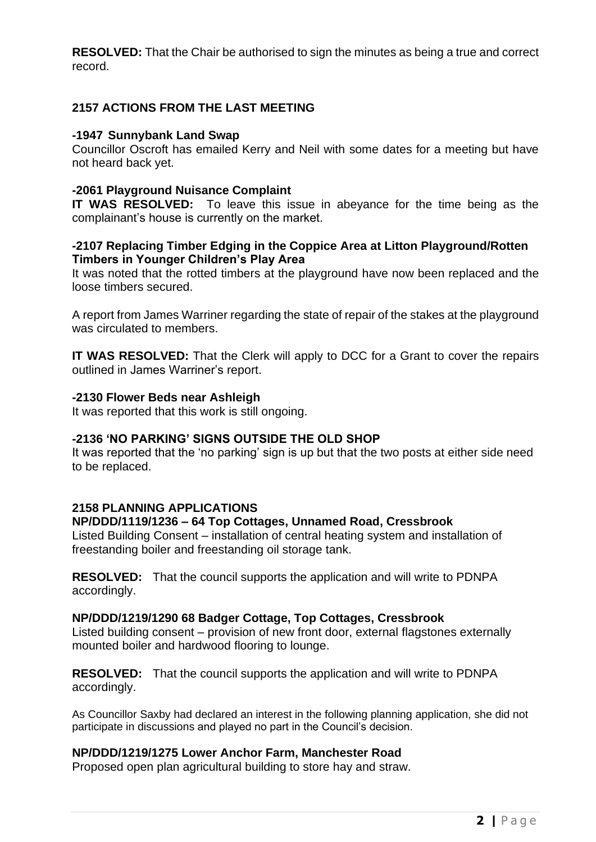**RESOLVED:** That the Chair be authorised to sign the minutes as being a true and correct record.

# **2157 ACTIONS FROM THE LAST MEETING**

#### **-1947 Sunnybank Land Swap**

Councillor Oscroft has emailed Kerry and Neil with some dates for a meeting but have not heard back yet.

## **-2061 Playground Nuisance Complaint**

**IT WAS RESOLVED:** To leave this issue in abeyance for the time being as the complainant's house is currently on the market.

#### **-2107 Replacing Timber Edging in the Coppice Area at Litton Playground/Rotten Timbers in Younger Children's Play Area**

It was noted that the rotted timbers at the playground have now been replaced and the loose timbers secured.

A report from James Warriner regarding the state of repair of the stakes at the playground was circulated to members.

**IT WAS RESOLVED:** That the Clerk will apply to DCC for a Grant to cover the repairs outlined in James Warriner's report.

#### **-2130 Flower Beds near Ashleigh**

It was reported that this work is still ongoing.

## **-2136 'NO PARKING' SIGNS OUTSIDE THE OLD SHOP**

It was reported that the 'no parking' sign is up but that the two posts at either side need to be replaced.

## **2158 PLANNING APPLICATIONS**

## **NP/DDD/1119/1236 – 64 Top Cottages, Unnamed Road, Cressbrook**

Listed Building Consent – installation of central heating system and installation of freestanding boiler and freestanding oil storage tank.

**RESOLVED:** That the council supports the application and will write to PDNPA accordingly.

#### **NP/DDD/1219/1290 68 Badger Cottage, Top Cottages, Cressbrook**

Listed building consent – provision of new front door, external flagstones externally mounted boiler and hardwood flooring to lounge.

**RESOLVED:** That the council supports the application and will write to PDNPA accordingly.

As Councillor Saxby had declared an interest in the following planning application, she did not participate in discussions and played no part in the Council's decision.

#### **NP/DDD/1219/1275 Lower Anchor Farm, Manchester Road**

Proposed open plan agricultural building to store hay and straw.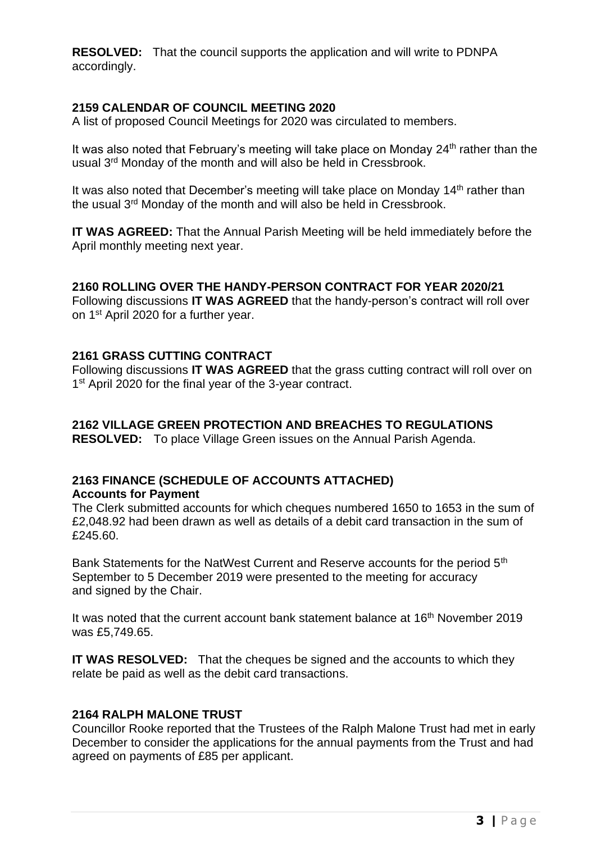**RESOLVED:** That the council supports the application and will write to PDNPA accordingly.

## **2159 CALENDAR OF COUNCIL MEETING 2020**

A list of proposed Council Meetings for 2020 was circulated to members.

It was also noted that February's meeting will take place on Monday  $24<sup>th</sup>$  rather than the usual 3rd Monday of the month and will also be held in Cressbrook.

It was also noted that December's meeting will take place on Monday 14<sup>th</sup> rather than the usual 3<sup>rd</sup> Monday of the month and will also be held in Cressbrook.

**IT WAS AGREED:** That the Annual Parish Meeting will be held immediately before the April monthly meeting next year.

## **2160 ROLLING OVER THE HANDY-PERSON CONTRACT FOR YEAR 2020/21**

Following discussions **IT WAS AGREED** that the handy-person's contract will roll over on 1st April 2020 for a further year.

#### **2161 GRASS CUTTING CONTRACT**

Following discussions **IT WAS AGREED** that the grass cutting contract will roll over on 1<sup>st</sup> April 2020 for the final year of the 3-year contract.

## **2162 VILLAGE GREEN PROTECTION AND BREACHES TO REGULATIONS**

**RESOLVED:** To place Village Green issues on the Annual Parish Agenda.

#### **2163 FINANCE (SCHEDULE OF ACCOUNTS ATTACHED) Accounts for Payment**

#### The Clerk submitted accounts for which cheques numbered 1650 to 1653 in the sum of £2,048.92 had been drawn as well as details of a debit card transaction in the sum of £245.60.

Bank Statements for the NatWest Current and Reserve accounts for the period 5<sup>th</sup> September to 5 December 2019 were presented to the meeting for accuracy and signed by the Chair.

It was noted that the current account bank statement balance at 16<sup>th</sup> November 2019 was £5,749.65.

**IT WAS RESOLVED:** That the cheques be signed and the accounts to which they relate be paid as well as the debit card transactions.

#### **2164 RALPH MALONE TRUST**

Councillor Rooke reported that the Trustees of the Ralph Malone Trust had met in early December to consider the applications for the annual payments from the Trust and had agreed on payments of £85 per applicant.